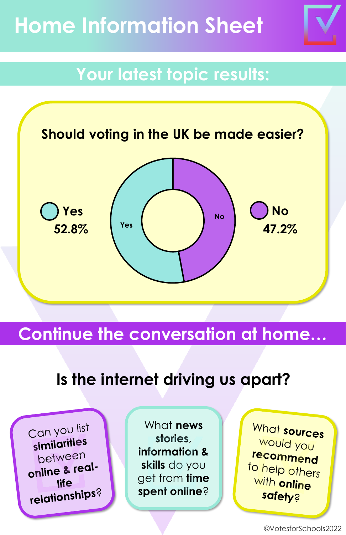# **Home Information Sheet**

# **Your latest topic results:**



## **Continue the conversation at home…**

## **Is the internet driving us apart?**

Can you list similarities between online & reallife relationships?

What **news stories**, **information & skills** do you get from **time spent online**?

What sources would you recommend to help others with online **safety?**